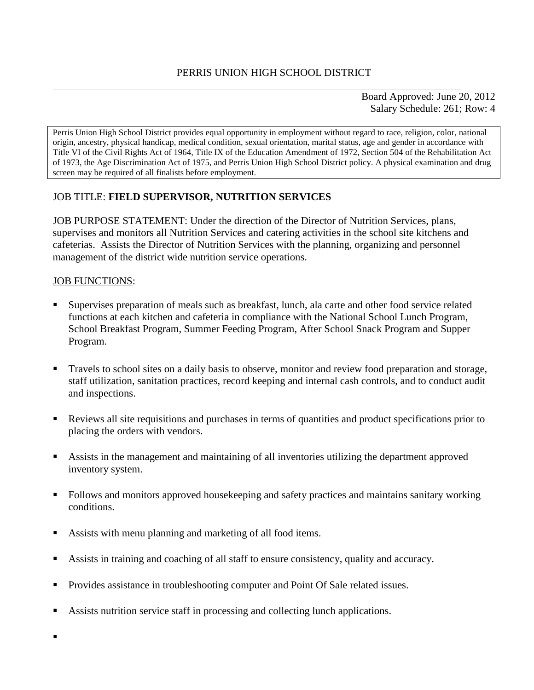Board Approved: June 20, 2012 Salary Schedule: 261; Row: 4

Perris Union High School District provides equal opportunity in employment without regard to race, religion, color, national origin, ancestry, physical handicap, medical condition, sexual orientation, marital status, age and gender in accordance with Title VI of the Civil Rights Act of 1964, Title IX of the Education Amendment of 1972, Section 504 of the Rehabilitation Act of 1973, the Age Discrimination Act of 1975, and Perris Union High School District policy. A physical examination and drug screen may be required of all finalists before employment.

### JOB TITLE: **FIELD SUPERVISOR, NUTRITION SERVICES**

JOB PURPOSE STATEMENT: Under the direction of the Director of Nutrition Services, plans, supervises and monitors all Nutrition Services and catering activities in the school site kitchens and cafeterias. Assists the Director of Nutrition Services with the planning, organizing and personnel management of the district wide nutrition service operations.

#### JOB FUNCTIONS:

- Supervises preparation of meals such as breakfast, lunch, ala carte and other food service related functions at each kitchen and cafeteria in compliance with the National School Lunch Program, School Breakfast Program, Summer Feeding Program, After School Snack Program and Supper Program.
- **Travels to school sites on a daily basis to observe, monitor and review food preparation and storage,** staff utilization, sanitation practices, record keeping and internal cash controls, and to conduct audit and inspections.
- Reviews all site requisitions and purchases in terms of quantities and product specifications prior to placing the orders with vendors.
- Assists in the management and maintaining of all inventories utilizing the department approved inventory system.
- Follows and monitors approved housekeeping and safety practices and maintains sanitary working conditions.
- Assists with menu planning and marketing of all food items.
- Assists in training and coaching of all staff to ensure consistency, quality and accuracy.
- **Provides assistance in troubleshooting computer and Point Of Sale related issues.**
- Assists nutrition service staff in processing and collecting lunch applications.

 $\blacksquare$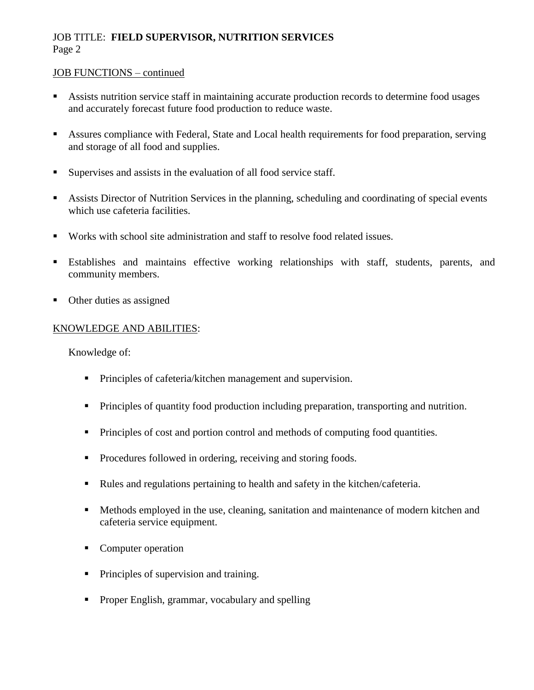#### JOB FUNCTIONS – continued

- Assists nutrition service staff in maintaining accurate production records to determine food usages and accurately forecast future food production to reduce waste.
- Assures compliance with Federal, State and Local health requirements for food preparation, serving and storage of all food and supplies.
- Supervises and assists in the evaluation of all food service staff.
- Assists Director of Nutrition Services in the planning, scheduling and coordinating of special events which use cafeteria facilities.
- Works with school site administration and staff to resolve food related issues.
- Establishes and maintains effective working relationships with staff, students, parents, and community members.
- Other duties as assigned

### KNOWLEDGE AND ABILITIES:

Knowledge of:

- **Principles of cafeteria/kitchen management and supervision.**
- Principles of quantity food production including preparation, transporting and nutrition.
- Principles of cost and portion control and methods of computing food quantities.
- Procedures followed in ordering, receiving and storing foods.
- Rules and regulations pertaining to health and safety in the kitchen/cafeteria.
- **Methods employed in the use, cleaning, sanitation and maintenance of modern kitchen and** cafeteria service equipment.
- Computer operation
- Principles of supervision and training.
- **Proper English, grammar, vocabulary and spelling**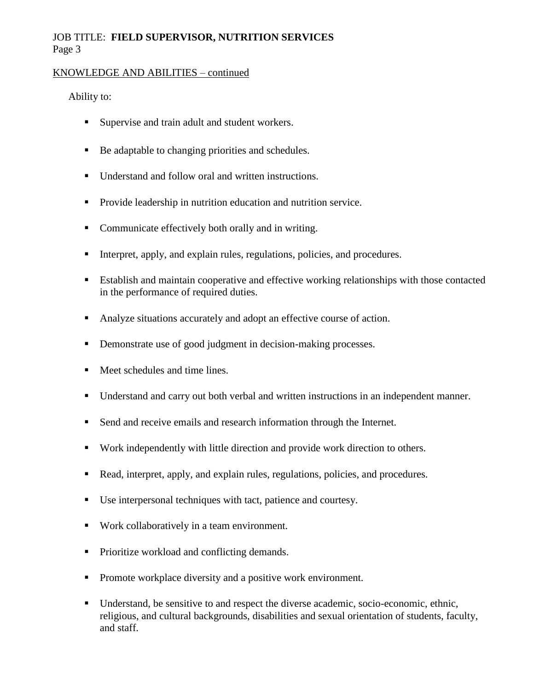#### KNOWLEDGE AND ABILITIES – continued

#### Ability to:

- Supervise and train adult and student workers.
- Be adaptable to changing priorities and schedules.
- Understand and follow oral and written instructions.
- Provide leadership in nutrition education and nutrition service.
- Communicate effectively both orally and in writing.
- Interpret, apply, and explain rules, regulations, policies, and procedures.
- Establish and maintain cooperative and effective working relationships with those contacted in the performance of required duties.
- Analyze situations accurately and adopt an effective course of action.
- Demonstrate use of good judgment in decision-making processes.
- Meet schedules and time lines.
- Understand and carry out both verbal and written instructions in an independent manner.
- Send and receive emails and research information through the Internet.
- Work independently with little direction and provide work direction to others.
- Read, interpret, apply, and explain rules, regulations, policies, and procedures.
- Use interpersonal techniques with tact, patience and courtesy.
- Work collaboratively in a team environment.
- Prioritize workload and conflicting demands.
- **•** Promote workplace diversity and a positive work environment.
- Understand, be sensitive to and respect the diverse academic, socio-economic, ethnic, religious, and cultural backgrounds, disabilities and sexual orientation of students, faculty, and staff.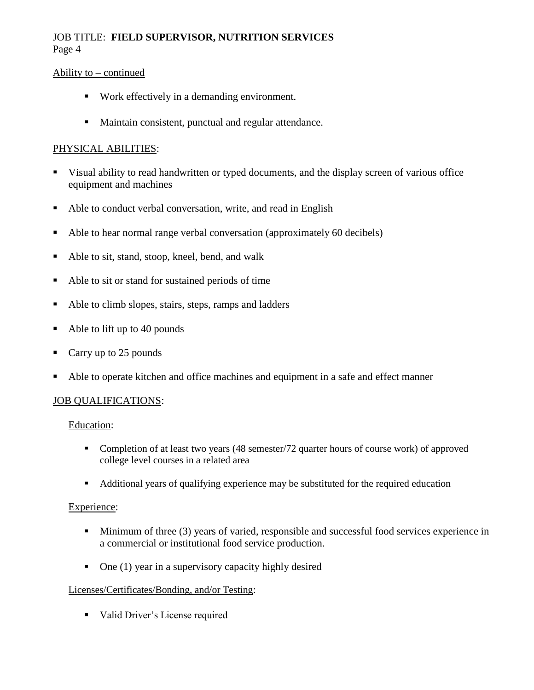#### Ability to – continued

- Work effectively in a demanding environment.
- **Maintain consistent, punctual and regular attendance.**

### PHYSICAL ABILITIES:

- Visual ability to read handwritten or typed documents, and the display screen of various office equipment and machines
- Able to conduct verbal conversation, write, and read in English
- Able to hear normal range verbal conversation (approximately 60 decibels)
- Able to sit, stand, stoop, kneel, bend, and walk
- Able to sit or stand for sustained periods of time
- Able to climb slopes, stairs, steps, ramps and ladders
- $\blacksquare$  Able to lift up to 40 pounds
- Carry up to 25 pounds
- Able to operate kitchen and office machines and equipment in a safe and effect manner

### JOB QUALIFICATIONS:

Education:

- Completion of at least two years (48 semester/72 quarter hours of course work) of approved college level courses in a related area
- Additional years of qualifying experience may be substituted for the required education

#### Experience:

- **Minimum of three (3) years of varied, responsible and successful food services experience in** a commercial or institutional food service production.
- $\blacksquare$  One (1) year in a supervisory capacity highly desired

#### Licenses/Certificates/Bonding, and/or Testing:

• Valid Driver's License required